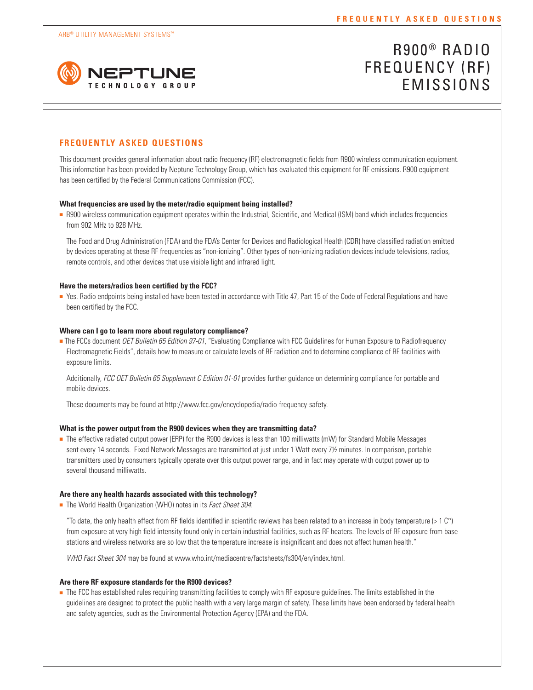

# R900 ® RADIO FREQUENCY (RF) EMISSIONS

# **FREQUENTLY ASKED QUESTIONS**

This document provides general information about radio frequency (RF) electromagnetic fields from R900 wireless communication equipment. This information has been provided by Neptune Technology Group, which has evaluated this equipment for RF emissions. R900 equipment has been certified by the Federal Communications Commission (FCC).

# **What frequencies are used by the meter/radio equipment being installed?**

<sup>n</sup> R900 wireless communication equipment operates within the Industrial, Scientific, and Medical (ISM) band which includes frequencies from 902 MHz to 928 MHz.

The Food and Drug Administration (FDA) and the FDA's Center for Devices and Radiological Health (CDR) have classified radiation emitted by devices operating at these RF frequencies as "non-ionizing". Other types of non-ionizing radiation devices include televisions, radios, remote controls, and other devices that use visible light and infrared light.

## **Have the meters/radios been certified by the FCC?**

<sup>n</sup> Yes. Radio endpoints being installed have been tested in accordance with Title 47, Part 15 of the Code of Federal Regulations and have been certified by the FCC.

# **Where can I go to learn more about regulatory compliance?**

<sup>n</sup> The FCCs document *OET Bulletin 65 Edition 97-01*, "Evaluating Compliance with FCC Guidelines for Human Exposure to Radiofrequency Electromagnetic Fields", details how to measure or calculate levels of RF radiation and to determine compliance of RF facilities with exposure limits.

Additionally, *FCC OET Bulletin 65 Supplement C Edition 01-01* provides further guidance on determining compliance for portable and mobile devices.

These documents may be found at http://www.fcc.gov/encyclopedia/radio-frequency-safety.

#### **What is the power output from the R900 devices when they are transmitting data?**

<sup>n</sup> The effective radiated output power (ERP) for the R900 devices is less than 100 milliwatts (mW) for Standard Mobile Messages sent every 14 seconds. Fixed Network Messages are transmitted at just under 1 Watt every 7½ minutes. In comparison, portable transmitters used by consumers typically operate over this output power range, and in fact may operate with output power up to several thousand milliwatts.

# **Are there any health hazards associated with this technology?**

■ The World Health Organization (WHO) notes in its *Fact Sheet 304*:

"To date, the only health effect from RF fields identified in scientific reviews has been related to an increase in body temperature (> 1 C°) from exposure at very high field intensity found only in certain industrial facilities, such as RF heaters. The levels of RF exposure from base stations and wireless networks are so low that the temperature increase is insignificant and does not affect human health."

*WHO Fact Sheet 304* may be found at www.who.int/mediacentre/factsheets/fs304/en/index.html.

## **Are there RF exposure standards for the R900 devices?**

<sup>n</sup> The FCC has established rules requiring transmitting facilities to comply with RF exposure guidelines. The limits established in the guidelines are designed to protect the public health with a very large margin of safety. These limits have been endorsed by federal health and safety agencies, such as the Environmental Protection Agency (EPA) and the FDA.